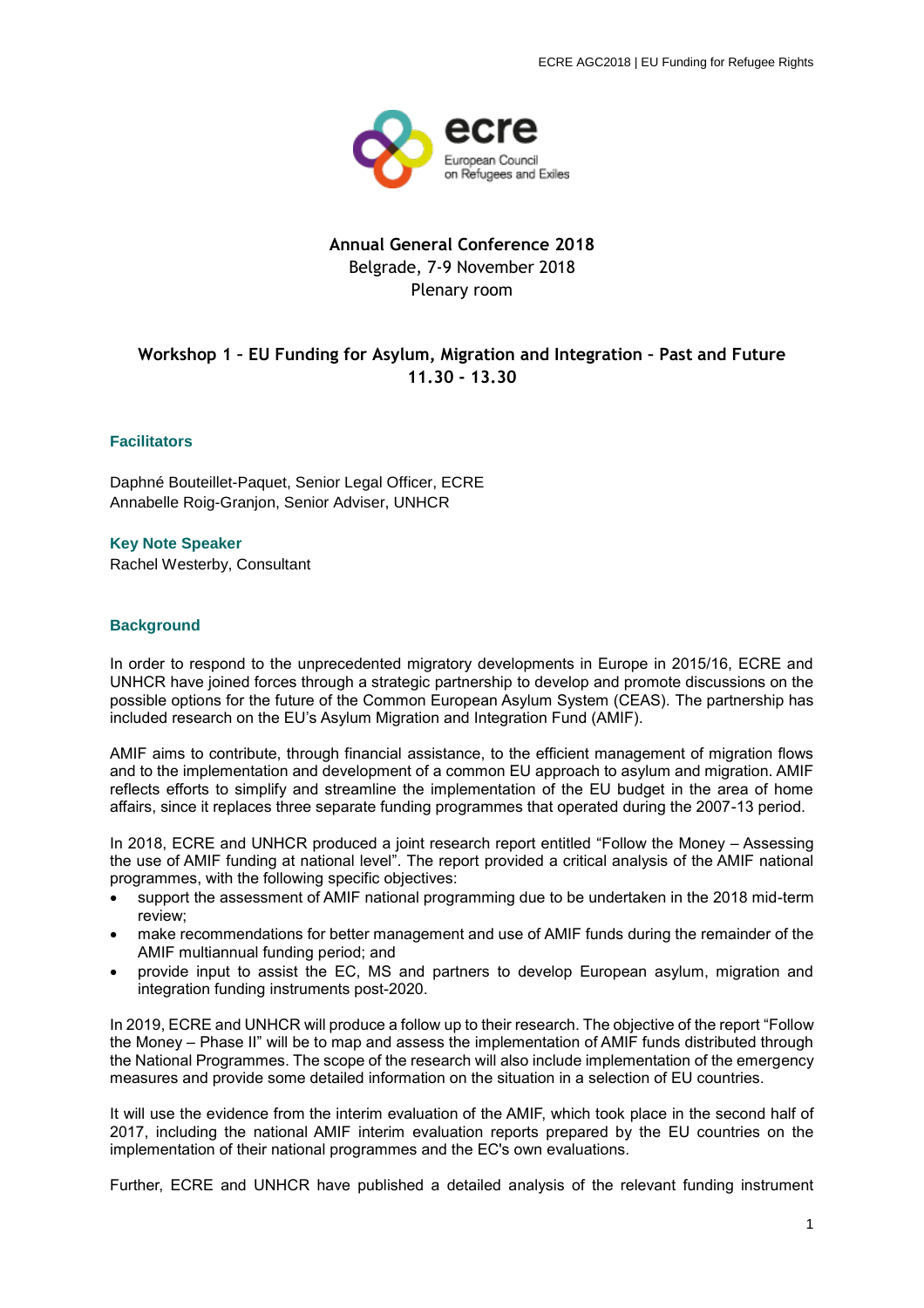

## **Annual General Conference 2018** Belgrade, 7-9 November 2018 Plenary room

# **Workshop 1 – EU Funding for Asylum, Migration and Integration – Past and Future 11.30 - 13.30**

### **Facilitators**

Daphné Bouteillet-Paquet, Senior Legal Officer, ECRE Annabelle Roig-Granjon, Senior Adviser, UNHCR

**Key Note Speaker** Rachel Westerby, Consultant

#### **Background**

In order to respond to the unprecedented migratory developments in Europe in 2015/16, ECRE and UNHCR have joined forces through a strategic partnership to develop and promote discussions on the possible options for the future of the Common European Asylum System (CEAS). The partnership has included research on the EU's Asylum Migration and Integration Fund (AMIF).

AMIF aims to contribute, through financial assistance, to the efficient management of migration flows and to the implementation and development of a common EU approach to asylum and migration. AMIF reflects efforts to simplify and streamline the implementation of the EU budget in the area of home affairs, since it replaces three separate funding programmes that operated during the 2007-13 period.

In 2018, ECRE and UNHCR produced a joint research report entitled "Follow the Money – Assessing the use of AMIF funding at national level". The report provided a critical analysis of the AMIF national programmes, with the following specific objectives:

- support the assessment of AMIF national programming due to be undertaken in the 2018 mid-term review;
- make recommendations for better management and use of AMIF funds during the remainder of the AMIF multiannual funding period; and
- provide input to assist the EC, MS and partners to develop European asylum, migration and integration funding instruments post-2020.

In 2019, ECRE and UNHCR will produce a follow up to their research. The objective of the report "Follow the Money – Phase II" will be to map and assess the implementation of AMIF funds distributed through the National Programmes. The scope of the research will also include implementation of the emergency measures and provide some detailed information on the situation in a selection of EU countries.

It will use the evidence from the interim evaluation of the AMIF, which took place in the second half of 2017, including the national AMIF interim evaluation reports prepared by the EU countries on the implementation of their national programmes and the EC's own evaluations.

Further, ECRE and UNHCR have published a detailed analysis of the relevant funding instrument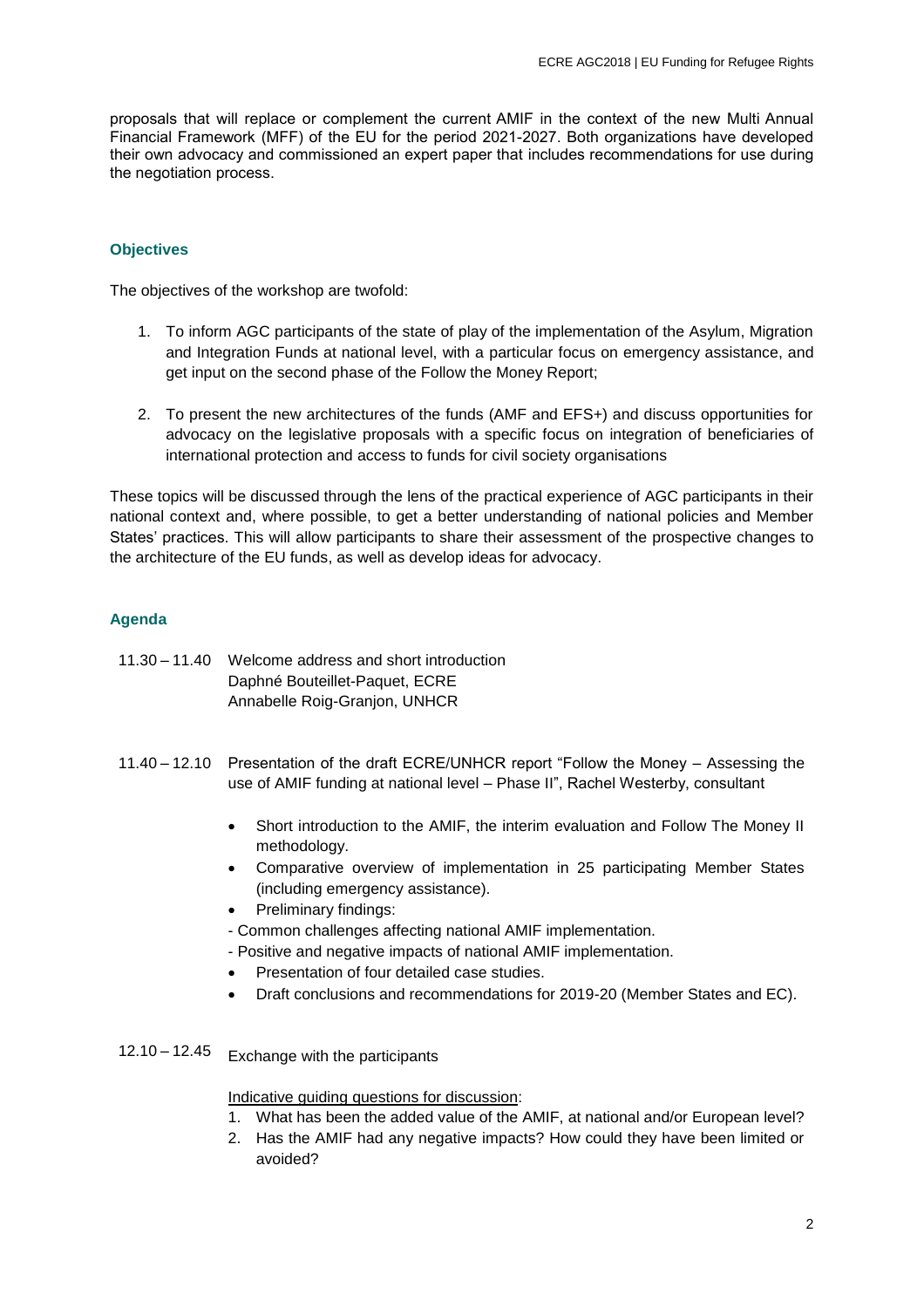proposals that will replace or complement the current AMIF in the context of the new Multi Annual Financial Framework (MFF) of the EU for the period 2021-2027. Both organizations have developed their own advocacy and commissioned an expert paper that includes recommendations for use during the negotiation process.

## **Objectives**

The objectives of the workshop are twofold:

- 1. To inform AGC participants of the state of play of the implementation of the Asylum, Migration and Integration Funds at national level, with a particular focus on emergency assistance, and get input on the second phase of the Follow the Money Report;
- 2. To present the new architectures of the funds (AMF and EFS+) and discuss opportunities for advocacy on the legislative proposals with a specific focus on integration of beneficiaries of international protection and access to funds for civil society organisations

These topics will be discussed through the lens of the practical experience of AGC participants in their national context and, where possible, to get a better understanding of national policies and Member States' practices. This will allow participants to share their assessment of the prospective changes to the architecture of the EU funds, as well as develop ideas for advocacy.

## **Agenda**

- 11.30 11.40 Welcome address and short introduction Daphné Bouteillet-Paquet, ECRE Annabelle Roig-Granjon, UNHCR
- 11.40 12.10 Presentation of the draft ECRE/UNHCR report "Follow the Money Assessing the use of AMIF funding at national level – Phase II", Rachel Westerby, consultant
	- Short introduction to the AMIF, the interim evaluation and Follow The Money II methodology.
	- Comparative overview of implementation in 25 participating Member States (including emergency assistance).
	- Preliminary findings:
	- Common challenges affecting national AMIF implementation.
	- Positive and negative impacts of national AMIF implementation.
	- Presentation of four detailed case studies.
	- Draft conclusions and recommendations for 2019-20 (Member States and EC).
- 12.10 12.45 Exchange with the participants

Indicative guiding questions for discussion:

- 1. What has been the added value of the AMIF, at national and/or European level?
- 2. Has the AMIF had any negative impacts? How could they have been limited or avoided?